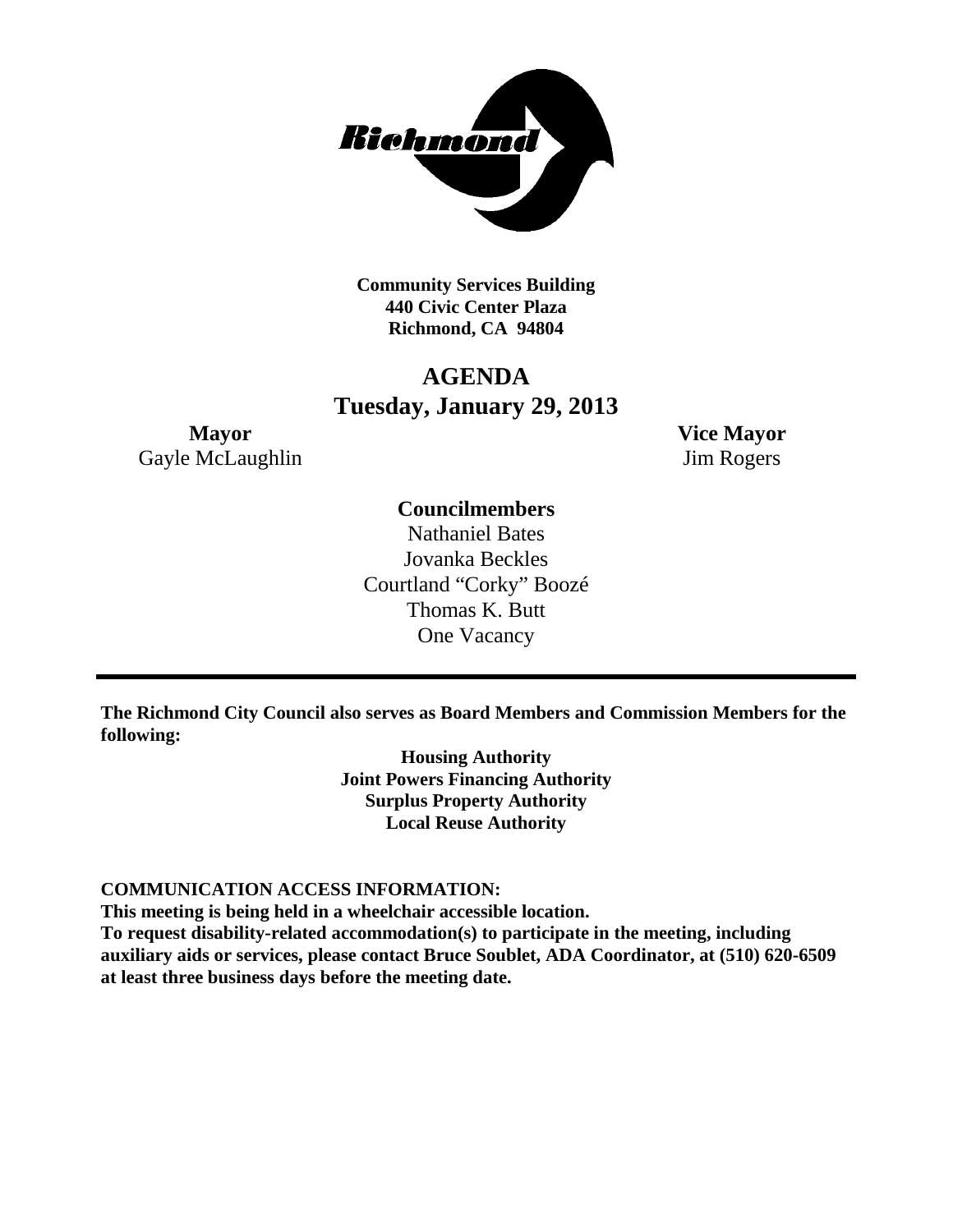

**Community Services Building 440 Civic Center Plaza Richmond, CA 94804**

## **AGENDA Tuesday, January 29, 2013**

**Mayor Vice Mayor** Gayle McLaughlin Jim Rogers

### **Councilmembers**

Nathaniel Bates Jovanka Beckles Courtland "Corky" Boozé Thomas K. Butt One Vacancy

**The Richmond City Council also serves as Board Members and Commission Members for the following:**

> **Housing Authority Joint Powers Financing Authority Surplus Property Authority Local Reuse Authority**

#### **COMMUNICATION ACCESS INFORMATION:**

**This meeting is being held in a wheelchair accessible location.**

**To request disability-related accommodation(s) to participate in the meeting, including auxiliary aids or services, please contact Bruce Soublet, ADA Coordinator, at (510) 620-6509 at least three business days before the meeting date.**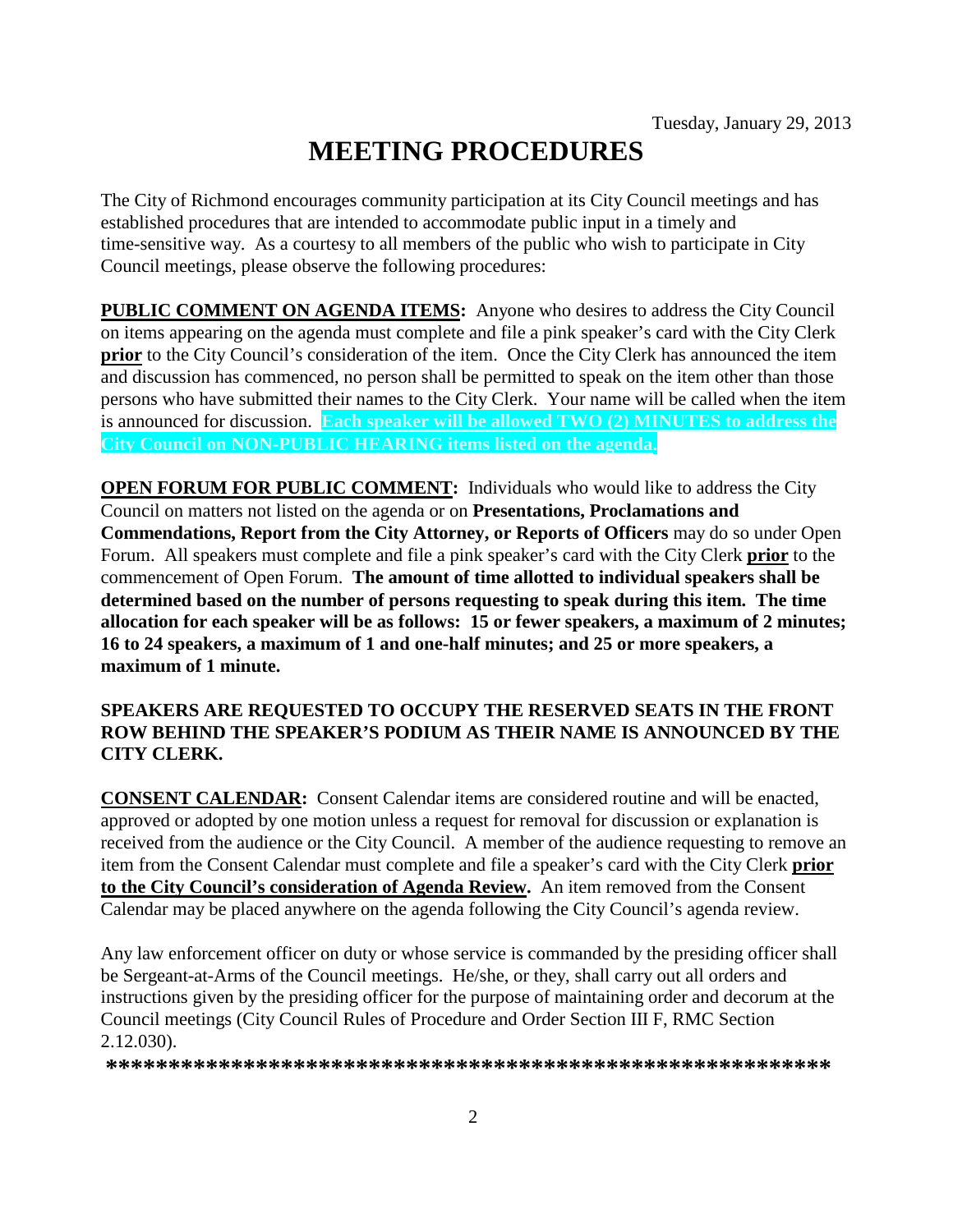# **MEETING PROCEDURES**

The City of Richmond encourages community participation at its City Council meetings and has established procedures that are intended to accommodate public input in a timely and time-sensitive way. As a courtesy to all members of the public who wish to participate in City Council meetings, please observe the following procedures:

**PUBLIC COMMENT ON AGENDA ITEMS:** Anyone who desires to address the City Council on items appearing on the agenda must complete and file a pink speaker's card with the City Clerk **prior** to the City Council's consideration of the item. Once the City Clerk has announced the item and discussion has commenced, no person shall be permitted to speak on the item other than those persons who have submitted their names to the City Clerk. Your name will be called when the item is announced for discussion. **Each speaker will be allowed TWO (2) MINUTES to address the City Council on NON-PUBLIC HEARING items listed on the agenda.**

**OPEN FORUM FOR PUBLIC COMMENT:** Individuals who would like to address the City Council on matters not listed on the agenda or on **Presentations, Proclamations and Commendations, Report from the City Attorney, or Reports of Officers** may do so under Open Forum. All speakers must complete and file a pink speaker's card with the City Clerk **prior** to the commencement of Open Forum. **The amount of time allotted to individual speakers shall be determined based on the number of persons requesting to speak during this item. The time allocation for each speaker will be as follows: 15 or fewer speakers, a maximum of 2 minutes; 16 to 24 speakers, a maximum of 1 and one-half minutes; and 25 or more speakers, a maximum of 1 minute.**

#### **SPEAKERS ARE REQUESTED TO OCCUPY THE RESERVED SEATS IN THE FRONT ROW BEHIND THE SPEAKER'S PODIUM AS THEIR NAME IS ANNOUNCED BY THE CITY CLERK.**

**CONSENT CALENDAR:** Consent Calendar items are considered routine and will be enacted, approved or adopted by one motion unless a request for removal for discussion or explanation is received from the audience or the City Council. A member of the audience requesting to remove an item from the Consent Calendar must complete and file a speaker's card with the City Clerk **prior to the City Council's consideration of Agenda Review.** An item removed from the Consent Calendar may be placed anywhere on the agenda following the City Council's agenda review.

Any law enforcement officer on duty or whose service is commanded by the presiding officer shall be Sergeant-at-Arms of the Council meetings. He/she, or they, shall carry out all orders and instructions given by the presiding officer for the purpose of maintaining order and decorum at the Council meetings (City Council Rules of Procedure and Order Section III F, RMC Section 2.12.030).

**\*\*\*\*\*\*\*\*\*\*\*\*\*\*\*\*\*\*\*\*\*\*\*\*\*\*\*\*\*\*\*\*\*\*\*\*\*\*\*\*\*\*\*\*\*\*\*\*\*\*\*\*\*\*\*\*\*\***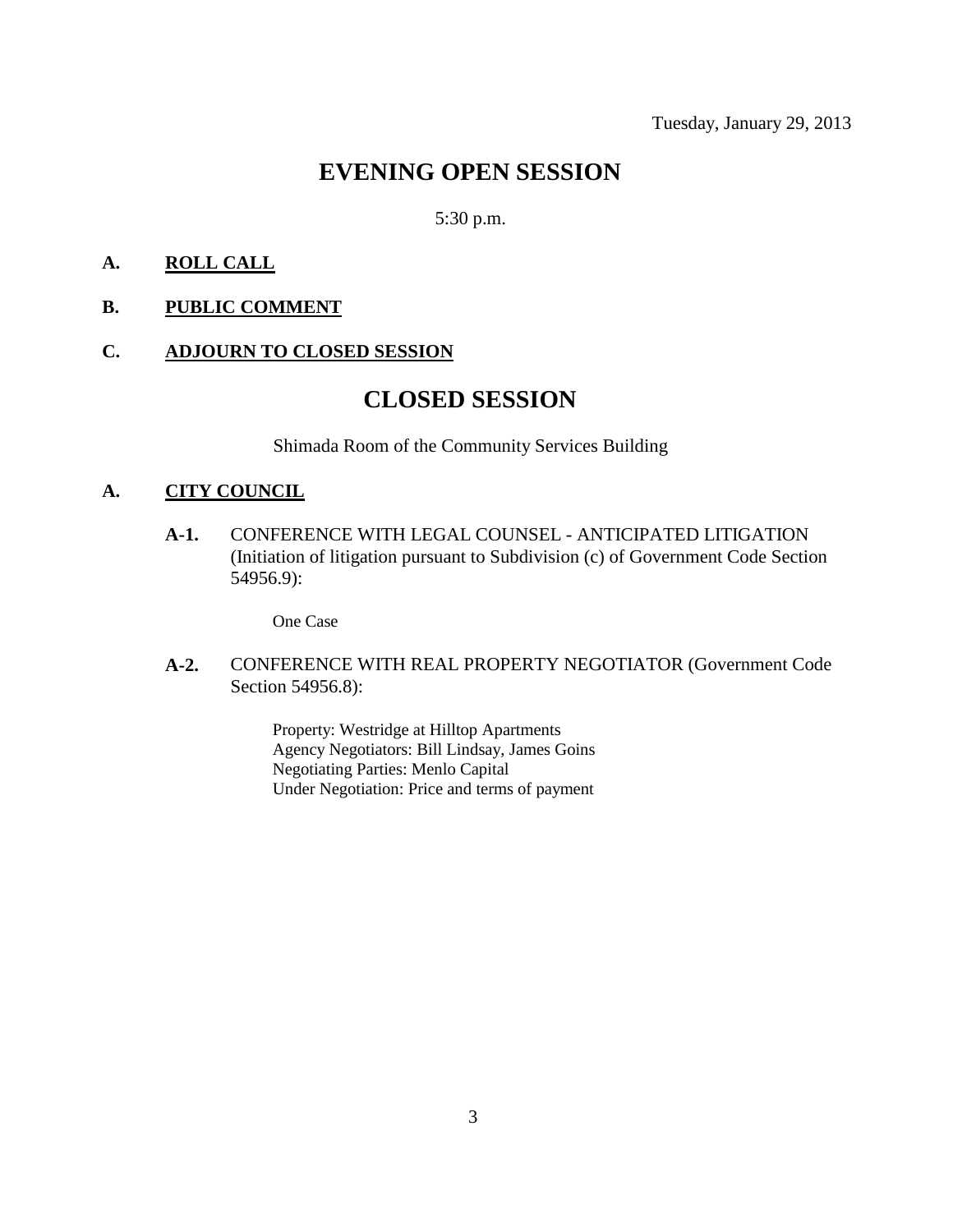### **EVENING OPEN SESSION**

#### 5:30 p.m.

#### **A. ROLL CALL**

**B. PUBLIC COMMENT**

#### **C. ADJOURN TO CLOSED SESSION**

### **CLOSED SESSION**

Shimada Room of the Community Services Building

#### **A. CITY COUNCIL**

**A-1.** CONFERENCE WITH LEGAL COUNSEL - ANTICIPATED LITIGATION (Initiation of litigation pursuant to Subdivision (c) of Government Code Section 54956.9):

One Case

#### **A-2.** CONFERENCE WITH REAL PROPERTY NEGOTIATOR (Government Code Section 54956.8):

Property: Westridge at Hilltop Apartments Agency Negotiators: Bill Lindsay, James Goins Negotiating Parties: Menlo Capital Under Negotiation: Price and terms of payment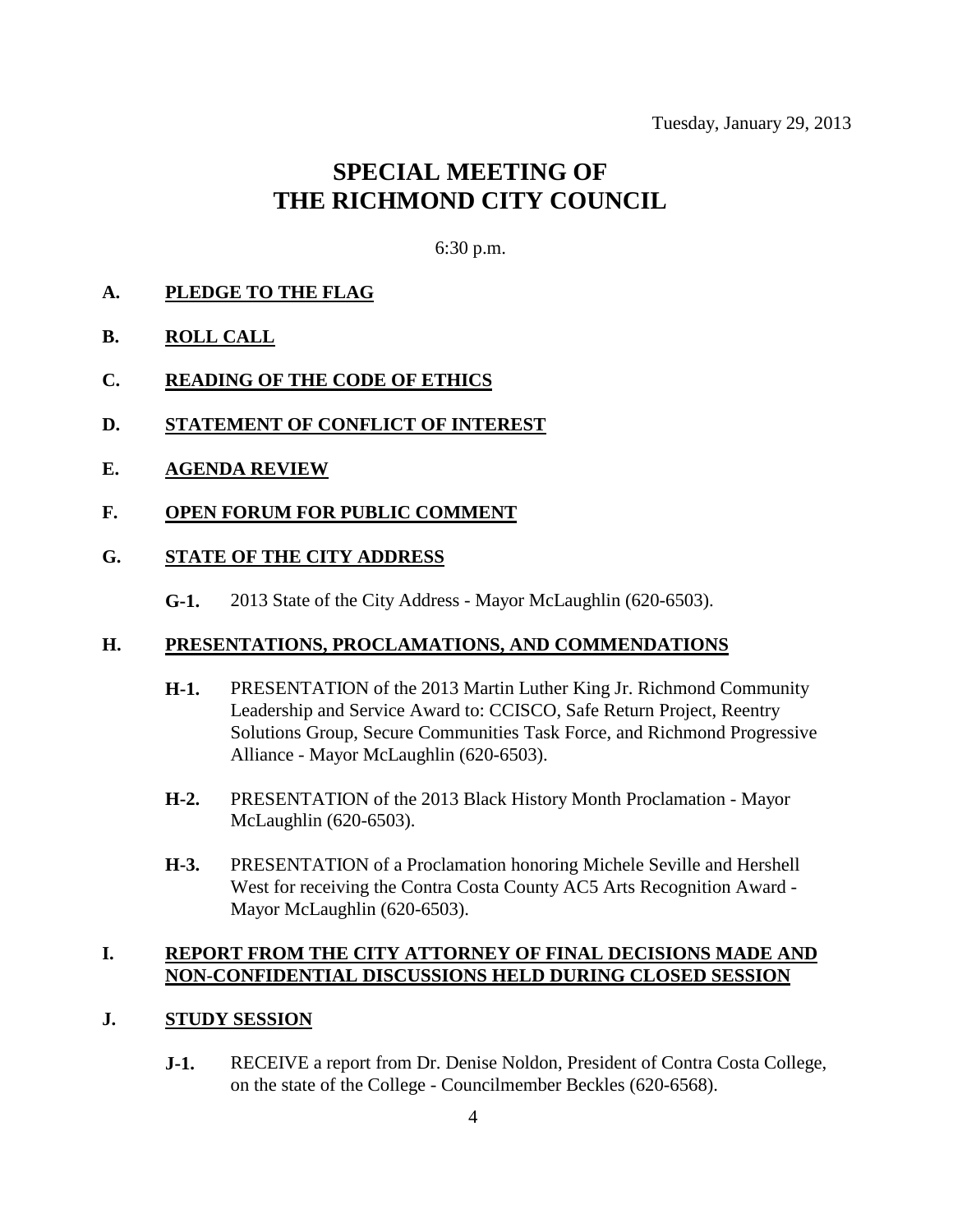# **SPECIAL MEETING OF THE RICHMOND CITY COUNCIL**

6:30 p.m.

#### **A. PLEDGE TO THE FLAG**

- **B. ROLL CALL**
- **C. READING OF THE CODE OF ETHICS**
- **D. STATEMENT OF CONFLICT OF INTEREST**
- **E. AGENDA REVIEW**
- **F. OPEN FORUM FOR PUBLIC COMMENT**

#### **G. STATE OF THE CITY ADDRESS**

**G-1.** 2013 State of the City Address - Mayor McLaughlin (620-6503).

#### **H. PRESENTATIONS, PROCLAMATIONS, AND COMMENDATIONS**

- **H-1.** PRESENTATION of the 2013 Martin Luther King Jr. Richmond Community Leadership and Service Award to: CCISCO, Safe Return Project, Reentry Solutions Group, Secure Communities Task Force, and Richmond Progressive Alliance - Mayor McLaughlin (620-6503).
- **H-2.** PRESENTATION of the 2013 Black History Month Proclamation Mayor McLaughlin (620-6503).
- **H-3.** PRESENTATION of a Proclamation honoring Michele Seville and Hershell West for receiving the Contra Costa County AC5 Arts Recognition Award - Mayor McLaughlin (620-6503).

#### **I. REPORT FROM THE CITY ATTORNEY OF FINAL DECISIONS MADE AND NON-CONFIDENTIAL DISCUSSIONS HELD DURING CLOSED SESSION**

#### **J. STUDY SESSION**

**J-1.** RECEIVE a report from Dr. Denise Noldon, President of Contra Costa College, on the state of the College - Councilmember Beckles (620-6568).